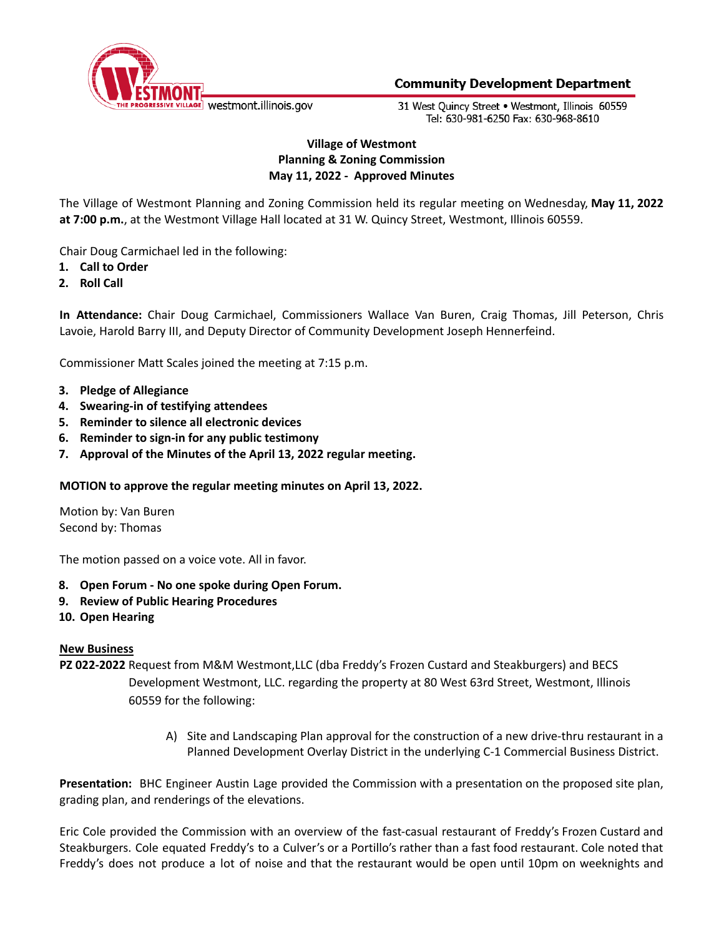

# **Community Development Department**

31 West Ouincy Street . Westmont, Illinois 60559 Tel: 630-981-6250 Fax: 630-968-8610

# **Village of Westmont Planning & Zoning Commission May 11, 2022 - Approved Minutes**

The Village of Westmont Planning and Zoning Commission held its regular meeting on Wednesday, **May 11, 2022 at 7:00 p.m.**, at the Westmont Village Hall located at 31 W. Quincy Street, Westmont, Illinois 60559.

Chair Doug Carmichael led in the following:

- **1. Call to Order**
- **2. Roll Call**

**In Attendance:** Chair Doug Carmichael, Commissioners Wallace Van Buren, Craig Thomas, Jill Peterson, Chris Lavoie, Harold Barry III, and Deputy Director of Community Development Joseph Hennerfeind.

Commissioner Matt Scales joined the meeting at 7:15 p.m.

- **3. Pledge of Allegiance**
- **4. Swearing-in of testifying attendees**
- **5. Reminder to silence all electronic devices**
- **6. Reminder to sign-in for any public testimony**
- **7. Approval of the Minutes of the April 13, 2022 regular meeting.**

#### **MOTION to approve the regular meeting minutes on April 13, 2022.**

Motion by: Van Buren Second by: Thomas

The motion passed on a voice vote. All in favor.

- **8. Open Forum - No one spoke during Open Forum.**
- **9. Review of Public Hearing Procedures**
- **10. Open Hearing**

#### **New Business**

- **PZ 022-2022** Request from M&M Westmont,LLC (dba Freddy's Frozen Custard and Steakburgers) and BECS Development Westmont, LLC. regarding the property at 80 West 63rd Street, Westmont, Illinois 60559 for the following:
	- A) Site and Landscaping Plan approval for the construction of a new drive-thru restaurant in a Planned Development Overlay District in the underlying C-1 Commercial Business District.

**Presentation:** BHC Engineer Austin Lage provided the Commission with a presentation on the proposed site plan, grading plan, and renderings of the elevations.

Eric Cole provided the Commission with an overview of the fast-casual restaurant of Freddy's Frozen Custard and Steakburgers. Cole equated Freddy's to a Culver's or a Portillo's rather than a fast food restaurant. Cole noted that Freddy's does not produce a lot of noise and that the restaurant would be open until 10pm on weeknights and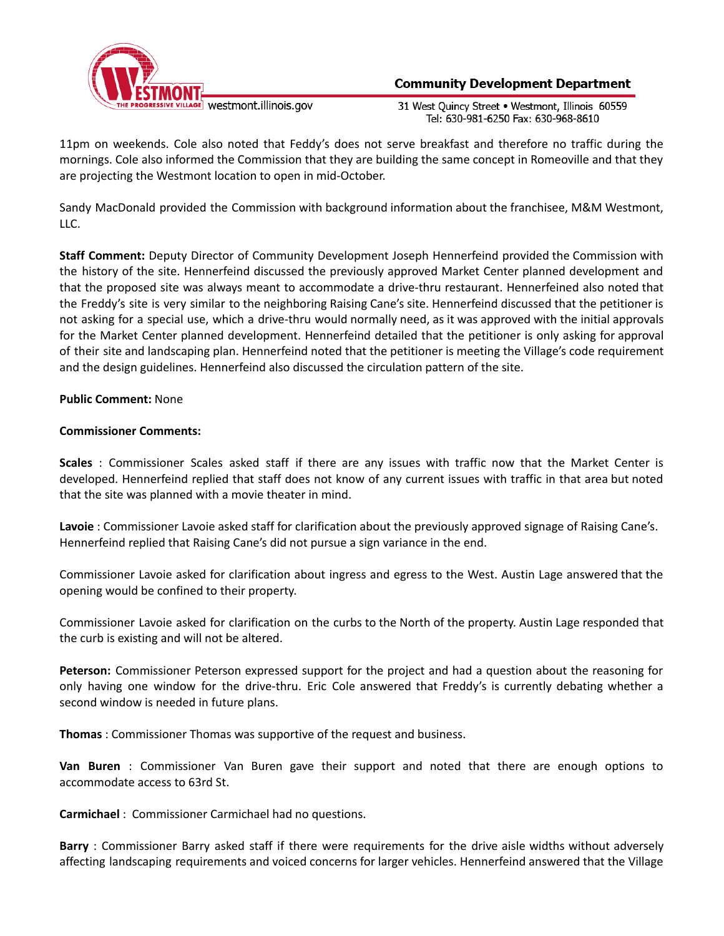

# **Community Development Department**

31 West Quincy Street . Westmont, Illinois 60559 Tel: 630-981-6250 Fax: 630-968-8610

11pm on weekends. Cole also noted that Feddy's does not serve breakfast and therefore no traffic during the mornings. Cole also informed the Commission that they are building the same concept in Romeoville and that they are projecting the Westmont location to open in mid-October.

Sandy MacDonald provided the Commission with background information about the franchisee, M&M Westmont, LLC.

**Staff Comment:** Deputy Director of Community Development Joseph Hennerfeind provided the Commission with the history of the site. Hennerfeind discussed the previously approved Market Center planned development and that the proposed site was always meant to accommodate a drive-thru restaurant. Hennerfeined also noted that the Freddy's site is very similar to the neighboring Raising Cane's site. Hennerfeind discussed that the petitioner is not asking for a special use, which a drive-thru would normally need, as it was approved with the initial approvals for the Market Center planned development. Hennerfeind detailed that the petitioner is only asking for approval of their site and landscaping plan. Hennerfeind noted that the petitioner is meeting the Village's code requirement and the design guidelines. Hennerfeind also discussed the circulation pattern of the site.

**Public Comment:** None

## **Commissioner Comments:**

**Scales** : Commissioner Scales asked staff if there are any issues with traffic now that the Market Center is developed. Hennerfeind replied that staff does not know of any current issues with traffic in that area but noted that the site was planned with a movie theater in mind.

**Lavoie** : Commissioner Lavoie asked staff for clarification about the previously approved signage of Raising Cane's. Hennerfeind replied that Raising Cane's did not pursue a sign variance in the end.

Commissioner Lavoie asked for clarification about ingress and egress to the West. Austin Lage answered that the opening would be confined to their property.

Commissioner Lavoie asked for clarification on the curbs to the North of the property. Austin Lage responded that the curb is existing and will not be altered.

**Peterson:** Commissioner Peterson expressed support for the project and had a question about the reasoning for only having one window for the drive-thru. Eric Cole answered that Freddy's is currently debating whether a second window is needed in future plans.

**Thomas** : Commissioner Thomas was supportive of the request and business.

**Van Buren** : Commissioner Van Buren gave their support and noted that there are enough options to accommodate access to 63rd St.

**Carmichael** : Commissioner Carmichael had no questions.

**Barry** : Commissioner Barry asked staff if there were requirements for the drive aisle widths without adversely affecting landscaping requirements and voiced concerns for larger vehicles. Hennerfeind answered that the Village